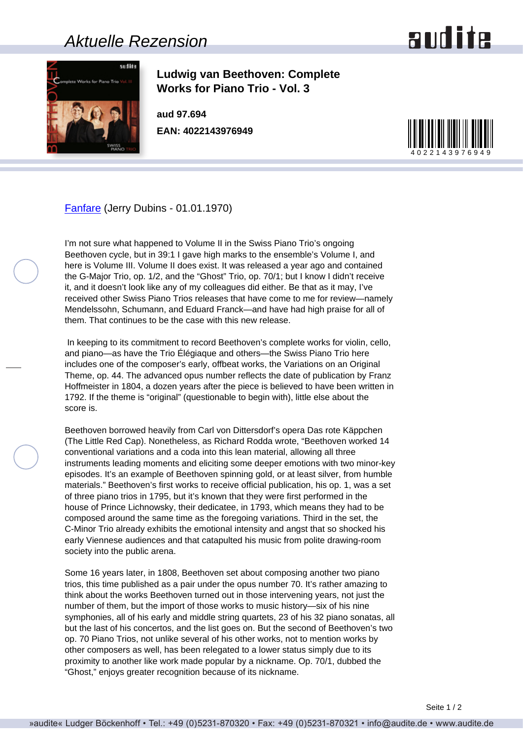## Aktuelle Rezension





**Ludwig van Beethoven: Complete Works for Piano Trio - Vol. 3**

**aud 97.694 EAN: 4022143976949**



[Fanfare](http://www.fanfaremag.com/) (Jerry Dubins - 01.01.1970)

I'm not sure what happened to Volume II in the Swiss Piano Trio's ongoing Beethoven cycle, but in 39:1 I gave high marks to the ensemble's Volume I, and here is Volume III. Volume II does exist. It was released a year ago and contained the G-Major Trio, op. 1/2, and the "Ghost" Trio, op. 70/1; but I know I didn't receive it, and it doesn't look like any of my colleagues did either. Be that as it may, I've received other Swiss Piano Trios releases that have come to me for review—namely Mendelssohn, Schumann, and Eduard Franck—and have had high praise for all of them. That continues to be the case with this new release.

 In keeping to its commitment to record Beethoven's complete works for violin, cello, and piano—as have the Trio Élégiaque and others—the Swiss Piano Trio here includes one of the composer's early, offbeat works, the Variations on an Original Theme, op. 44. The advanced opus number reflects the date of publication by Franz Hoffmeister in 1804, a dozen years after the piece is believed to have been written in 1792. If the theme is "original" (questionable to begin with), little else about the score is.

Beethoven borrowed heavily from Carl von Dittersdorf's opera Das rote Käppchen (The Little Red Cap). Nonetheless, as Richard Rodda wrote, "Beethoven worked 14 conventional variations and a coda into this lean material, allowing all three instruments leading moments and eliciting some deeper emotions with two minor-key episodes. It's an example of Beethoven spinning gold, or at least silver, from humble materials." Beethoven's first works to receive official publication, his op. 1, was a set of three piano trios in 1795, but it's known that they were first performed in the house of Prince Lichnowsky, their dedicatee, in 1793, which means they had to be composed around the same time as the foregoing variations. Third in the set, the C-Minor Trio already exhibits the emotional intensity and angst that so shocked his early Viennese audiences and that catapulted his music from polite drawing-room society into the public arena.

Some 16 years later, in 1808, Beethoven set about composing another two piano trios, this time published as a pair under the opus number 70. It's rather amazing to think about the works Beethoven turned out in those intervening years, not just the number of them, but the import of those works to music history—six of his nine symphonies, all of his early and middle string quartets, 23 of his 32 piano sonatas, all but the last of his concertos, and the list goes on. But the second of Beethoven's two op. 70 Piano Trios, not unlike several of his other works, not to mention works by other composers as well, has been relegated to a lower status simply due to its proximity to another like work made popular by a nickname. Op. 70/1, dubbed the "Ghost," enjoys greater recognition because of its nickname.